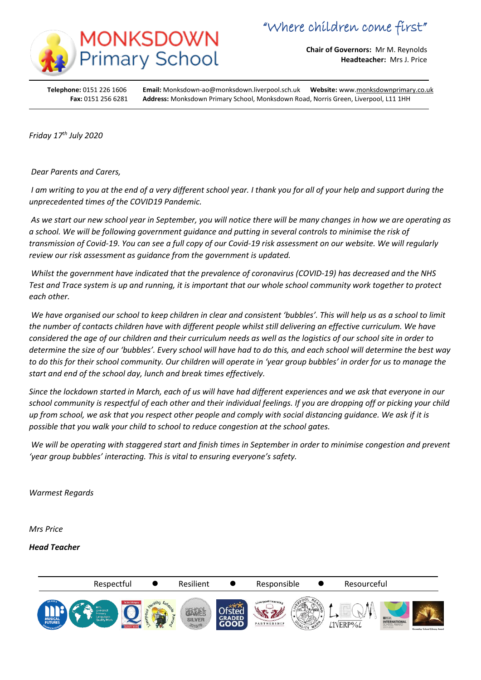

**Chair of Governors:** Mr M. Reynolds **Headteacher:** Mrs J. Price

**Telephone:** 0151 226 1606 **Email:** Monksdown-ao@monksdown.liverpool.sch.uk **Website:** www[.monksdownprimary.co.uk](http://www.monksdownprimary.co.uk/) **Fax:** 0151 256 6281 **Address:** Monksdown Primary School, Monksdown Road, Norris Green, Liverpool, L11 1HH

*Friday 17th July 2020*

İ

*Dear Parents and Carers,*

*I am writing to you at the end of a very different school year. I thank you for all of your help and support during the unprecedented times of the COVID19 Pandemic.*

*As we start our new school year in September, you will notice there will be many changes in how we are operating as a school. We will be following government guidance and putting in several controls to minimise the risk of transmission of Covid-19. You can see a full copy of our Covid-19 risk assessment on our website. We will regularly review our risk assessment as guidance from the government is updated.*

*Whilst the government have indicated that the prevalence of coronavirus (COVID-19) has decreased and the NHS Test and Trace system is up and running, it is important that our whole school community work together to protect each other.*

*We have organised our school to keep children in clear and consistent 'bubbles'. This will help us as a school to limit the number of contacts children have with different people whilst still delivering an effective curriculum. We have considered the age of our children and their curriculum needs as well as the logistics of our school site in order to determine the size of our 'bubbles'. Every school will have had to do this, and each school will determine the best way to do this for their school community. Our children will operate in 'year group bubbles' in order for us to manage the start and end of the school day, lunch and break times effectively.* 

*Since the lockdown started in March, each of us will have had different experiences and we ask that everyone in our school community is respectful of each other and their individual feelings. If you are dropping off or picking your child up from school, we ask that you respect other people and comply with social distancing guidance. We ask if it is possible that you walk your child to school to reduce congestion at the school gates.*

*We will be operating with staggered start and finish times in September in order to minimise congestion and prevent 'year group bubbles' interacting. This is vital to ensuring everyone's safety.* 

*Warmest Regards*

*Mrs Price*

## *Head Teacher*